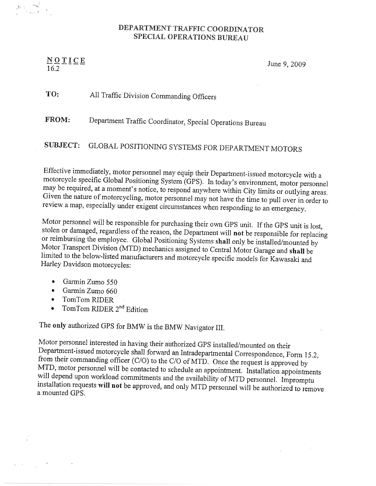## DEPARTMENT TRAFFIC COORDINATOR SPECIAL OPERATIONS BUREAU

 $\frac{N}{16.2}$   $\frac{N}{16.2}$   $\frac{N}{16.2}$   $\frac{N}{16.2}$   $\frac{N}{16.2}$   $\frac{N}{16.2}$   $\frac{N}{16.2}$   $\frac{N}{16.2}$   $\frac{N}{16.2}$   $\frac{N}{16.2}$   $\frac{N}{16.2}$   $\frac{N}{16.2}$   $\frac{N}{16.2}$   $\frac{N}{16.2}$   $\frac{N}{16.2}$   $\frac{N}{16.2}$   $\frac{N}{16.2}$ 

TO: All Traffic Division Commanding Officers

FROM: Department Traffic Coordinator, Special Operations Bureau

SUBJECT: GLOBAL POSITIONING SYSTEMS FOR DEPARTMENT MOTORS

<sup>E</sup>ffective immediately, motor personnel may equip their Department-issued motorcycle with <sup>a</sup> motorcycle specific Global Positioning System (GPS). In today's environment, motor personnel may be required, at a moment's notice, to respond anywhere within City limits or outlying areas. Given the nature of motorcycling, motor personnel may not have the time to pull over in order to <sup>r</sup>eview <sup>a</sup>map, especially under exigent circumstances when responding to an emergency,

Motor personnel will be responsible for purchasing their own GPS unit. If the GPS unit is lost, stolen or damaged, regardless of the reason, the Department will not be responsible for replacing<br>or reimbursing the employee. Global Positioning Systems shall only be installed/mounted by Motor Transport Division (MTD) mechanics assigned to Central Motor Garage and shall be limited to the below-listed manufacturers and motorcycle specific models for Kawasaki and <sup>H</sup>arley Davidson motorcycles:

- •Garmin Zumo 550
- •Garmin Zumo 660
- IomTom RIDER
- •TomTom RIDER 2<sup>nd</sup> Edition

The only authorized GPS for BMW is the BMW Navigator III.

Motor personnel interested in having their authorized GPS installed/mounted on their<br>Department-issued motorcycle shall forward an Intradepartmental Correspondence, Form 15.2, from their commanding officer (C/O) to the C/O of MTD. Once the request is approved by MTD, motor personnel will be contacted to schedule an appointment. Installation appointments will depend upon workload commitments and installation requests will not be approved, and only MTD personnel will be authorized to remove <sup>a</sup> mounted GFS.